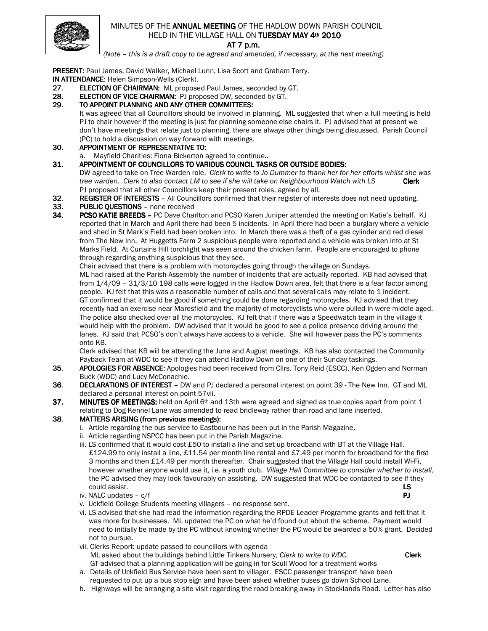

# MINUTES OF THE ANNUAL MEETING OF THE HADLOW DOWN PARISH COUNCIL HELD IN THE VILLAGE HALL ON TUESDAY MAY 4th 2010

AT 7 p.m.

(Note – this is a draft copy to be agreed and amended, if necessary, at the next meeting)

PRESENT: Paul James, David Walker, Michael Lunn, Lisa Scott and Graham Terry. IN ATTENDANCE: Helen Simpson-Wells (Clerk).

- 27. ELECTION OF CHAIRMAN: ML proposed Paul James, seconded by GT.
- 28. ELECTION OF VICE-CHAIRMAN: PJ proposed DW, seconded by GT.
- 29. TO APPOINT PLANNING AND ANY OTHER COMMITTEES:

It was agreed that all Councillors should be involved in planning. ML suggested that when a full meeting is held PJ to chair however if the meeting is just for planning someone else chairs it. PJ advised that at present we don't have meetings that relate just to planning, there are always other things being discussed. Parish Council (PC) to hold a discussion on way forward with meetings.

30. APPOINTMENT OF REPRESENTATIVE TO:

a. Mayfield Charities: Fiona Bickerton agreed to continue..

31. APPOINTMENT OF COUNCILLORS TO VARIOUS COUNCIL TASKS OR OUTSIDE BODIES:

DW agreed to take on Tree Warden role. Clerk to write to Jo Dummer to thank her for her efforts whilst she was tree warden. Clerk to also contact LM to see if she will take on Neighbourhood Watch with LS **Clerk** PJ proposed that all other Councillors keep their present roles, agreed by all.

- 32. REGISTER OF INTERESTS All Councillors confirmed that their register of interests does not need updating.
- 33. PUBLIC QUESTIONS none received<br>34. PCSO KATIE BREEDS PC Dave Chai
- PCSO KATIE BREEDS PC Dave Charlton and PCSO Karen Juniper attended the meeting on Katie's behalf. KJ reported that in March and April there had been 5 incidents. In April there had been a burglary where a vehicle and shed in St Mark's Field had been broken into. In March there was a theft of a gas cylinder and red diesel from The New Inn. At Huggetts Farm 2 suspicious people were reported and a vehicle was broken into at St Marks Field. At Curtains Hill torchlight was seen around the chicken farm. People are encouraged to phone through regarding anything suspicious that they see.

Chair advised that there is a problem with motorcycles going through the village on Sundays.

ML had raised at the Parish Assembly the number of incidents that are actually reported. KB had advised that from 1/4/09 – 31/3/10 198 calls were logged in the Hadlow Down area, felt that there is a fear factor among people. KJ felt that this was a reasonable number of calls and that several calls may relate to 1 incident. GT confirmed that it would be good if something could be done regarding motorcycles. KJ advised that they recently had an exercise near Maresfield and the majority of motorcyclists who were pulled in were middle-aged. The police also checked over all the motorcycles. KJ felt that if there was a Speedwatch team in the village it would help with the problem. DW advised that it would be good to see a police presence driving around the lanes. KJ said that PCSO's don't always have access to a vehicle. She will however pass the PC's comments onto KB.

Clerk advised that KB will be attending the June and August meetings. KB has also contacted the Community Payback Team at WDC to see if they can attend Hadlow Down on one of their Sunday taskings.

- 35. APOLOGIES FOR ABSENCE: Apologies had been received from Cllrs. Tony Reid (ESCC), Ken Ogden and Norman Buck (WDC) and Lucy McConachie.
- 36. DECLARATIONS OF INTEREST DW and PJ declared a personal interest on point 39 The New Inn. GT and ML declared a personal interest on point 57vii.
- 37. MINUTES OF MEETINGS: held on April 6<sup>th</sup> and 13th were agreed and signed as true copies apart from point 1 relating to Dog Kennel Lane was amended to read bridleway rather than road and lane inserted.

#### 38. MATTERS ARISING (from previous meetings):

- i. Article regarding the bus service to Eastbourne has been put in the Parish Magazine.
- ii. Article regarding NSPCC has been put in the Parish Magazine.
- iii. LS confirmed that it would cost £50 to install a line and set up broadband with BT at the Village Hall. £124.99 to only install a line, £11.54 per month line rental and £7.49 per month for broadband for the first 3 months and then £14.49 per month thereafter. Chair suggested that the Village Hall could install Wi-Fi, however whether anyone would use it, i.e. a youth club. Village Hall Committee to consider whether to install, the PC advised they may look favourably on assisting. DW suggested that WDC be contacted to see if they could assist. LS
- iv. NALC updates  $c/f$
- v. Uckfield College Students meeting villagers no response sent.
- vi. LS advised that she had read the information regarding the RPDE Leader Programme grants and felt that it was more for businesses. ML updated the PC on what he'd found out about the scheme. Payment would need to initially be made by the PC without knowing whether the PC would be awarded a 50% grant. Decided not to pursue.
- vii. Clerks Report: update passed to councillors with agenda ML asked about the buildings behind Little Tinkers Nursery, Clerk to write to WDC. Clerk GT advised that a planning application will be going in for Scull Wood for a treatment works

- a. Details of Uckfield Bus Service have been sent to villager. ESCC passenger transport have been requested to put up a bus stop sign and have been asked whether buses go down School Lane.
- b. Highways will be arranging a site visit regarding the road breaking away in Stocklands Road. Letter has also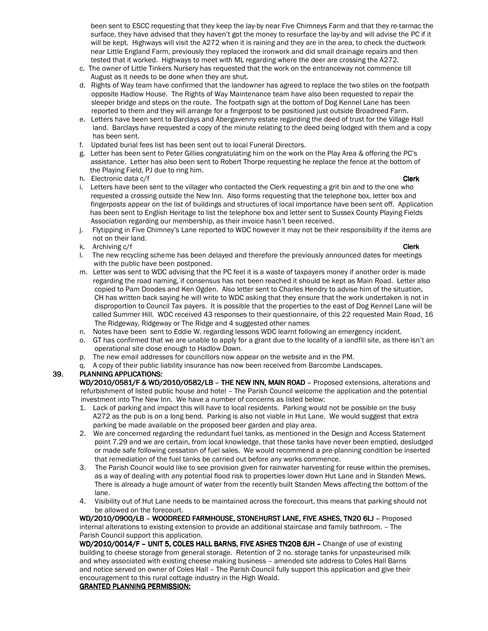been sent to ESCC requesting that they keep the lay-by near Five Chimneys Farm and that they re-tarmac the surface, they have advised that they haven't got the money to resurface the lay-by and will advise the PC if it will be kept. Highways will visit the A272 when it is raining and they are in the area, to check the ductwork near Little England Farm, previously they replaced the ironwork and did small drainage repairs and then tested that it worked. Highways to meet with ML regarding where the deer are crossing the A272.

- c. The owner of Little Tinkers Nursery has requested that the work on the entranceway not commence till August as it needs to be done when they are shut.
- d. Rights of Way team have confirmed that the landowner has agreed to replace the two stiles on the footpath opposite Hadlow House. The Rights of Way Maintenance team have also been requested to repair the sleeper bridge and steps on the route. The footpath sign at the bottom of Dog Kennel Lane has been reported to them and they will arrange for a fingerpost to be positioned just outside Broadreed Farm.
- e. Letters have been sent to Barclays and Abergavenny estate regarding the deed of trust for the Village Hall land. Barclays have requested a copy of the minute relating to the deed being lodged with them and a copy has been sent.
- f. Updated burial fees list has been sent out to local Funeral Directors.
- g. Letter has been sent to Peter Gillies congratulating him on the work on the Play Area & offering the PC's assistance. Letter has also been sent to Robert Thorpe requesting he replace the fence at the bottom of the Playing Field, PJ due to ring him.
- h. Electronic data c/f **Clerk** Communication of the communication of the communication of the communication of the communication of the communication of the communication of the communication of the communication of the co
- i. Letters have been sent to the villager who contacted the Clerk requesting a grit bin and to the one who requested a crossing outside the New Inn. Also forms requesting that the telephone box, letter box and fingerposts appear on the list of buildings and structures of local importance have been sent off. Application has been sent to English Heritage to list the telephone box and letter sent to Sussex County Playing Fields Association regarding our membership, as their invoice hasn't been received.
- j. Flytipping in Five Chimney's Lane reported to WDC however it may not be their responsibility if the items are not on their land.
- k. Archiving c/f **Clerk**
- l. The new recycling scheme has been delayed and therefore the previously announced dates for meetings with the public have been postponed.
- m. Letter was sent to WDC advising that the PC feel it is a waste of taxpayers money if another order is made regarding the road naming, if consensus has not been reached it should be kept as Main Road. Letter also copied to Pam Doodes and Ken Ogden. Also letter sent to Charles Hendry to advise him of the situation, CH has written back saying he will write to WDC asking that they ensure that the work undertaken is not in disproportion to Council Tax payers. It is possible that the properties to the east of Dog Kennel Lane will be called Summer Hill. WDC received 43 responses to their questionnaire, of this 22 requested Main Road, 16 The Ridgeway, Ridgeway or The Ridge and 4 suggested other names
- n. Notes have been sent to Eddie W. regarding lessons WDC learnt following an emergency incident.
- o. GT has confirmed that we are unable to apply for a grant due to the locality of a landfill site, as there isn't an operational site close enough to Hadlow Down.
- p. The new email addresses for councillors now appear on the website and in the PM.
- q. A copy of their public liability insurance has now been received from Barcombe Landscapes.

### 39. PLANNING APPLICATIONS:

WD/2010/0581/F & WD/2010/0582/LB - THE NEW INN, MAIN ROAD - Proposed extensions, alterations and refurbishment of listed public house and hotel – The Parish Council welcome the application and the potential investment into The New Inn. We have a number of concerns as listed below:

- 1. Lack of parking and impact this will have to local residents. Parking would not be possible on the busy A272 as the pub is on a long bend. Parking is also not viable in Hut Lane. We would suggest that extra parking be made available on the proposed beer garden and play area.
- 2. We are concerned regarding the redundant fuel tanks, as mentioned in the Design and Access Statement point 7.29 and we are certain, from local knowledge, that these tanks have never been emptied, desludged or made safe following cessation of fuel sales. We would recommend a pre-planning condition be inserted that remediation of the fuel tanks be carried out before any works commence.
- 3. The Parish Council would like to see provision given for rainwater harvesting for reuse within the premises, as a way of dealing with any potential flood risk to properties lower down Hut Lane and in Standen Mews. There is already a huge amount of water from the recently built Standen Mews affecting the bottom of the lane.
- 4. Visibility out of Hut Lane needs to be maintained across the forecourt, this means that parking should not be allowed on the forecourt.

WD/2010/0900/LB - WOODREED FARMHOUSE, STONEHURST LANE, FIVE ASHES, TN20 6LJ - Proposed internal alterations to existing extension to provide an additional staircase and family bathroom. – The Parish Council support this application.

WD/2010/0014/F - UNIT 5, COLES HALL BARNS, FIVE ASHES TN20B 6JH - Change of use of existing building to cheese storage from general storage. Retention of 2 no. storage tanks for unpasteurised milk and whey associated with existing cheese making business – amended site address to Coles Hall Barns and notice served on owner of Coles Hall – The Parish Council fully support this application and give their encouragement to this rural cottage industry in the High Weald.

### **GRANTED PLANNING PERMISSION:**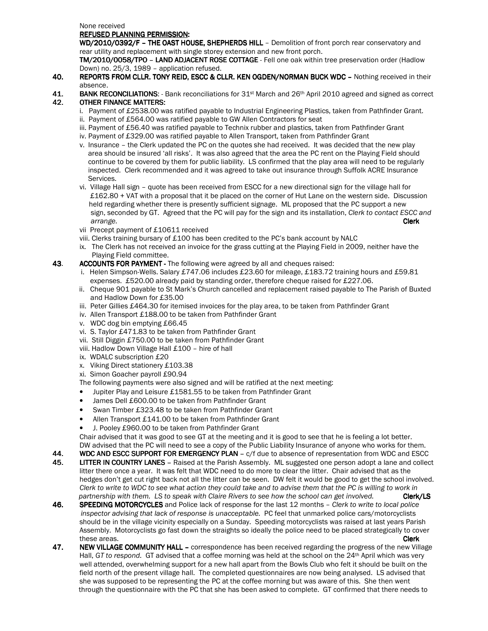None received

#### REFUSED PLANNING PERMISSION:

WD/2010/0392/F - THE OAST HOUSE, SHEPHERDS HILL - Demolition of front porch rear conservatory and rear utility and replacement with single storey extension and new front porch.

TM/2010/0058/TPO - LAND ADJACENT ROSE COTTAGE - Fell one oak within tree preservation order (Hadlow Down) no. 25/3, 1989 – application refused.

- 40. REPORTS FROM CLLR. TONY REID, ESCC & CLLR. KEN OGDEN/NORMAN BUCK WDC Nothing received in their absence.
- 41. BANK RECONCILIATIONS: Bank reconciliations for  $31$ <sup>st</sup> March and 26<sup>th</sup> April 2010 agreed and signed as correct 42. OTHER FINANCE MATTERS:
	- i. Payment of £2538.00 was ratified payable to Industrial Engineering Plastics, taken from Pathfinder Grant.
	- ii. Payment of £564.00 was ratified payable to GW Allen Contractors for seat
	- iii. Payment of £56.40 was ratified payable to Technix rubber and plastics, taken from Pathfinder Grant
	- iv. Payment of £329.00 was ratified payable to Allen Transport, taken from Pathfinder Grant
	- v. Insurance the Clerk updated the PC on the quotes she had received. It was decided that the new play area should be insured 'all risks'. It was also agreed that the area the PC rent on the Playing Field should continue to be covered by them for public liability. LS confirmed that the play area will need to be regularly inspected. Clerk recommended and it was agreed to take out insurance through Suffolk ACRE Insurance Services.
- vi. Village Hall sign quote has been received from ESCC for a new directional sign for the village hall for £162.80 + VAT with a proposal that it be placed on the corner of Hut Lane on the western side. Discussion held regarding whether there is presently sufficient signage. ML proposed that the PC support a new sign, seconded by GT. Agreed that the PC will pay for the sign and its installation, Clerk to contact ESCC and arrange. **Clerk** and the contract of the contract of the contract of the contract of the contract of the contract of the contract of the contract of the contract of the contract of the contract of the contract of the contr
	- vii Precept payment of £10611 received
	- viii. Clerks training bursary of £100 has been credited to the PC's bank account by NALC
	- ix. The Clerk has not received an invoice for the grass cutting at the Playing Field in 2009, neither have the Playing Field committee.
- 43. ACCOUNTS FOR PAYMENT The following were agreed by all and cheques raised:
	- i. Helen Simpson-Wells. Salary £747.06 includes £23.60 for mileage, £183.72 training hours and £59.81 expenses. £520.00 already paid by standing order, therefore cheque raised for £227.06.
	- ii. Cheque 901 payable to St Mark's Church cancelled and replacement raised payable to The Parish of Buxted and Hadlow Down for £35.00
	- iii. Peter Gillies £464.30 for itemised invoices for the play area, to be taken from Pathfinder Grant
	- iv. Allen Transport £188.00 to be taken from Pathfinder Grant
	- v. WDC dog bin emptying £66.45
	- vi. S. Taylor £471.83 to be taken from Pathfinder Grant
	- vii. Still Diggin £750.00 to be taken from Pathfinder Grant
	- viii. Hadlow Down Village Hall £100 hire of hall
	- ix. WDALC subscription £20
	- x. Viking Direct stationery £103.38
	- xi. Simon Goacher payroll £90.94
	- The following payments were also signed and will be ratified at the next meeting:
	- Jupiter Play and Leisure £1581.55 to be taken from Pathfinder Grant
	- James Dell £600.00 to be taken from Pathfinder Grant
	- Swan Timber £323.48 to be taken from Pathfinder Grant
	- Allen Transport £141.00 to be taken from Pathfinder Grant
	- J. Pooley £960.00 to be taken from Pathfinder Grant

Chair advised that it was good to see GT at the meeting and it is good to see that he is feeling a lot better. DW advised that the PC will need to see a copy of the Public Liability Insurance of anyone who works for them.

44. WDC AND ESCC SUPPORT FOR EMERGENCY PLAN  $- c/f$  due to absence of representation from WDC and ESCC

- 45. LITTER IN COUNTRY LANES Raised at the Parish Assembly. ML suggested one person adopt a lane and collect litter there once a year. It was felt that WDC need to do more to clear the litter. Chair advised that as the hedges don't get cut right back not all the litter can be seen. DW felt it would be good to get the school involved. Clerk to write to WDC to see what action they could take and to advise them that the PC is willing to work in partnership with them. LS to speak with Claire Rivers to see how the school can get involved. **Clerk/LS**
- 46. SPEEDING MOTORCYCLES and Police lack of response for the last 12 months Clerk to write to local police inspector advising that lack of response is unacceptable. PC feel that unmarked police cars/motorcyclists should be in the village vicinity especially on a Sunday. Speeding motorcyclists was raised at last years Parish Assembly. Motorcyclists go fast down the straights so ideally the police need to be placed strategically to cover these areas. **Clerk** the contract of the contract of the contract of the contract of the contract of the contract of the contract of the contract of the contract of the contract of the contract of the contract of the contr
- 47. NEW VILLAGE COMMUNITY HALL correspondence has been received regarding the progress of the new Village Hall, GT to respond. GT advised that a coffee morning was held at the school on the 24<sup>th</sup> April which was very well attended, overwhelming support for a new hall apart from the Bowls Club who felt it should be built on the field north of the present village hall. The completed questionnaires are now being analysed. LS advised that she was supposed to be representing the PC at the coffee morning but was aware of this. She then went through the questionnaire with the PC that she has been asked to complete. GT confirmed that there needs to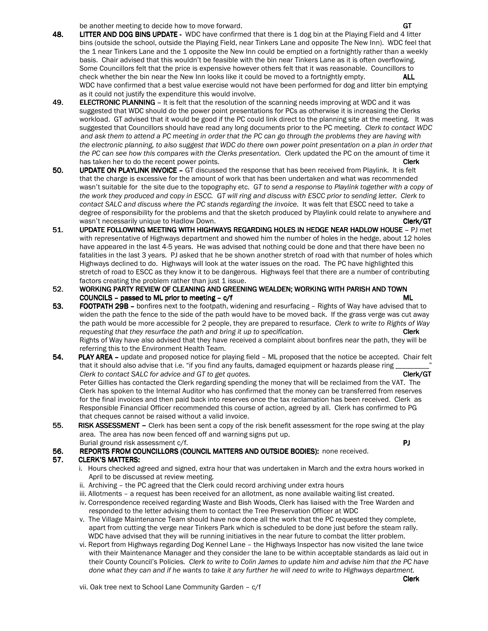- be another meeting to decide how to move forward.<br>**48. LITTER AND DOG BINS UPDATE** WDC have confirmed that there is 1 dog bin at the Plaving Field and 4 lit LITTER AND DOG BINS UPDATE - WDC have confirmed that there is 1 dog bin at the Playing Field and 4 litter bins (outside the school, outside the Playing Field, near Tinkers Lane and opposite The New Inn). WDC feel that the 1 near Tinkers Lane and the 1 opposite the New Inn could be emptied on a fortnightly rather than a weekly basis. Chair advised that this wouldn't be feasible with the bin near Tinkers Lane as it is often overflowing. Some Councillors felt that the price is expensive however others felt that it was reasonable. Councillors to check whether the bin near the New Inn looks like it could be moved to a fortnightly empty. ALL WDC have confirmed that a best value exercise would not have been performed for dog and litter bin emptying as it could not justify the expenditure this would involve.
- 49. **ELECTRONIC PLANNING** It is felt that the resolution of the scanning needs improving at WDC and it was suggested that WDC should do the power point presentations for PCs as otherwise it is increasing the Clerks workload. GT advised that it would be good if the PC could link direct to the planning site at the meeting. It was suggested that Councillors should have read any long documents prior to the PC meeting. Clerk to contact WDC and ask them to attend a PC meeting in order that the PC can go through the problems they are having with the electronic planning, to also suggest that WDC do there own power point presentation on a plan in order that the PC can see how this compares with the Clerks presentation. Clerk updated the PC on the amount of time it has taken her to do the recent power points. The recent of the recent power points.
- 50. UPDATE ON PLAYLINK INVOICE GT discussed the response that has been received from Playlink. It is felt that the charge is excessive for the amount of work that has been undertaken and what was recommended wasn't suitable for the site due to the topography etc. GT to send a response to Playlink together with a copy of the work they produced and copy in ESCC. GT will ring and discuss with ESCC prior to sending letter. Clerk to contact SALC and discuss where the PC stands regarding the invoice. It was felt that ESCC need to take a degree of responsibility for the problems and that the sketch produced by Playlink could relate to anywhere and wasn't necessarily unique to Hadlow Down. Clerk/GT erastic extension of the Clerk/GT error of the Clerk/GT erastic error of the Clerk/GT
- 51. UPDATE FOLLOWING MEETING WITH HIGHWAYS REGARDING HOLES IN HEDGE NEAR HADLOW HOUSE PJ met with representative of Highways department and showed him the number of holes in the hedge, about 12 holes have appeared in the last 4-5 years. He was advised that nothing could be done and that there have been no fatalities in the last 3 years. PJ asked that he be shown another stretch of road with that number of holes which Highways declined to do. Highways will look at the water issues on the road. The PC have highlighted this stretch of road to ESCC as they know it to be dangerous. Highways feel that there are a number of contributing factors creating the problem rather than just 1 issue.<br>52. WORKING PARTY REVIEW OF CLEANING AND GREENI
- WORKING PARTY REVIEW OF CLEANING AND GREENING WEALDEN; WORKING WITH PARISH AND TOWN  $COUNCILS - passed to ML prior to meeting - c/f$  ML
- 53. FOOTPATH 29B bonfires next to the footpath, widening and resurfacing Rights of Way have advised that to widen the path the fence to the side of the path would have to be moved back. If the grass verge was cut away the path would be more accessible for 2 people, they are prepared to resurface. Clerk to write to Rights of Way requesting that they resurface the path and bring it up to specification. The contraction of the Clerk Rights of Way have also advised that they have received a complaint about bonfires near the path, they will be referring this to the Environment Health Team.
- 54. PLAY AREA update and proposed notice for playing field ML proposed that the notice be accepted. Chair felt that it should also advise that i.e. "if you find any faults, damaged equipment or hazards please ring Clerk to contact SALC for advice and GT to get quotes. Clerk contact the clerk/GT clerk/GT Peter Gillies has contacted the Clerk regarding spending the money that will be reclaimed from the VAT. The Clerk has spoken to the Internal Auditor who has confirmed that the money can be transferred from reserves for the final invoices and then paid back into reserves once the tax reclamation has been received. Clerk as Responsible Financial Officer recommended this course of action, agreed by all. Clerk has confirmed to PG that cheques cannot be raised without a valid invoice.
- 55. RISK ASSESSMENT Clerk has been sent a copy of the risk benefit assessment for the rope swing at the play area. The area has now been fenced off and warning signs put up. Burial ground risk assessment c/f. **PJ**  $\blacksquare$ 
	-
- 56. REPORTS FROM COUNCILLORS (COUNCIL MATTERS AND OUTSIDE BODIES): none received.

### 57. CLERK'S MATTERS:

- i. Hours checked agreed and signed, extra hour that was undertaken in March and the extra hours worked in April to be discussed at review meeting.
- ii. Archiving the PC agreed that the Clerk could record archiving under extra hours
- iii. Allotments a request has been received for an allotment, as none available waiting list created.
- iv. Correspondence received regarding Waste and Bish Woods, Clerk has liaised with the Tree Warden and responded to the letter advising them to contact the Tree Preservation Officer at WDC
- v. The Village Maintenance Team should have now done all the work that the PC requested they complete, apart from cutting the verge near Tinkers Park which is scheduled to be done just before the steam rally. WDC have advised that they will be running initiatives in the near future to combat the litter problem.
- vi. Report from Highways regarding Dog Kennel Lane the Highways Inspector has now visited the lane twice with their Maintenance Manager and they consider the lane to be within acceptable standards as laid out in their County Council's Policies. Clerk to write to Colin James to update him and advise him that the PC have done what they can and if he wants to take it any further he will need to write to Highways department.